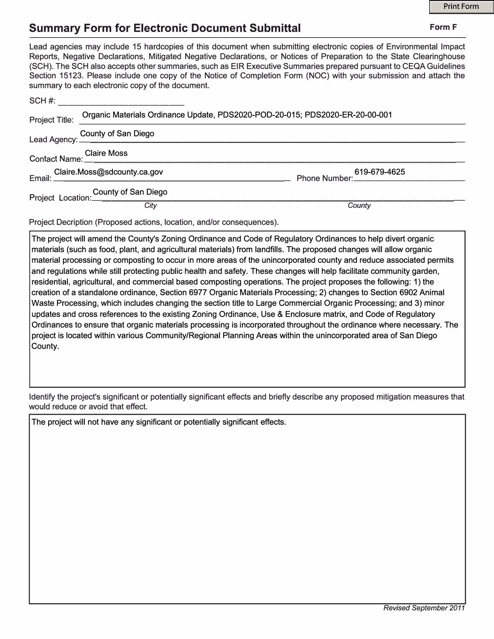]

## **Summary Form for Electronic Document Submittal <b>Form F** Form F

| Lead agencies may include 15 hardcopies of this document when submitting electronic copies of Environmental Impact<br>Reports, Negative Declarations, Mitigated Negative Declarations, or Notices of Preparation to the State Clearinghouse<br>(SCH). The SCH also accepts other summaries, such as EIR Executive Summaries prepared pursuant to CEQA Guidelines<br>Section 15123. Please include one copy of the Notice of Completion Form (NOC) with your submission and attach the<br>summary to each electronic copy of the document. |        |
|-------------------------------------------------------------------------------------------------------------------------------------------------------------------------------------------------------------------------------------------------------------------------------------------------------------------------------------------------------------------------------------------------------------------------------------------------------------------------------------------------------------------------------------------|--------|
| SCH #: _________________________                                                                                                                                                                                                                                                                                                                                                                                                                                                                                                          |        |
| Project Title: Organic Materials Ordinance Update, PDS2020-POD-20-015; PDS2020-ER-20-00-001                                                                                                                                                                                                                                                                                                                                                                                                                                               |        |
| Lead Agency: County of San Diego<br>Lead Agency: 2006                                                                                                                                                                                                                                                                                                                                                                                                                                                                                     |        |
| Contact Name: Claire Moss                                                                                                                                                                                                                                                                                                                                                                                                                                                                                                                 |        |
|                                                                                                                                                                                                                                                                                                                                                                                                                                                                                                                                           |        |
| County of San Diego<br>Project Location: County of San Diego                                                                                                                                                                                                                                                                                                                                                                                                                                                                              |        |
| City                                                                                                                                                                                                                                                                                                                                                                                                                                                                                                                                      | County |

Project Decription (Proposed actions, location, and/or consequences).

The project will amend the County's Zoning Ordinance and Code of Regulatory Ordinances to help divert organic materials (such as food, plant, and agricultural materials) from landfills. The proposed changes will allow organic material processing or composting to occur in more areas of the unincorporated county and reduce associated permits and regulations while still protecting public health and safety. These changes will help facilitate community garden, residential, agricultural, and commercial based composting operations. The project proposes the following: 1) the creation of a standalone ordinance, Section 6977 Organic Materials Processing; 2) changes to Section 6902 Animal Waste Processing, which includes changing the section title to Large Commercial Organic Processing; and 3) minor updates and cross references to the existing Zoning Ordinance, Use & Enclosure matrix, and Code of Regulatory Ordinances to ensure that organic materials processing is incorporated throughout the ordinance where necessary. The project is located within various Community/Regional Planning Areas within the unincorporated area of San Diego County.

Identify the project's significant or potentially significant effects and briefly describe any proposed mitigation measures that would reduce or avoid that effect.

The project will not have any significant or potentially significant effects.